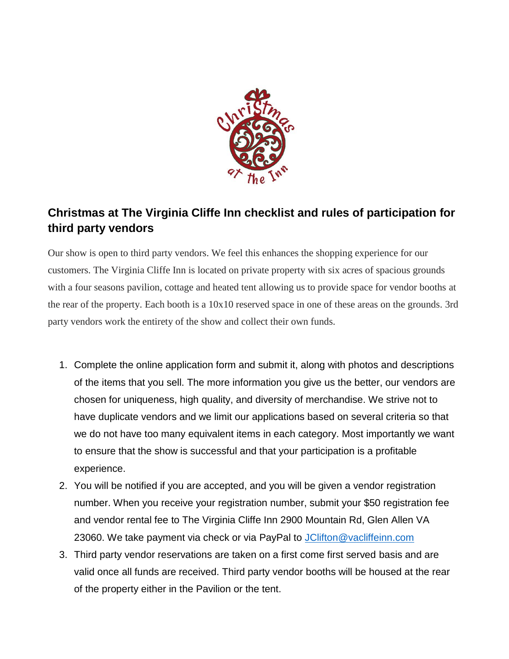

## **Christmas at The Virginia Cliffe Inn checklist and rules of participation for third party vendors**

Our show is open to third party vendors. We feel this enhances the shopping experience for our customers. The Virginia Cliffe Inn is located on private property with six acres of spacious grounds with a four seasons pavilion, cottage and heated tent allowing us to provide space for vendor booths at the rear of the property. Each booth is a 10x10 reserved space in one of these areas on the grounds. 3rd party vendors work the entirety of the show and collect their own funds.

- 1. Complete the online application form and submit it, along with photos and descriptions of the items that you sell. The more information you give us the better, our vendors are chosen for uniqueness, high quality, and diversity of merchandise. We strive not to have duplicate vendors and we limit our applications based on several criteria so that we do not have too many equivalent items in each category. Most importantly we want to ensure that the show is successful and that your participation is a profitable experience.
- 2. You will be notified if you are accepted, and you will be given a vendor registration number. When you receive your registration number, submit your \$50 registration fee and vendor rental fee to The Virginia Cliffe Inn 2900 Mountain Rd, Glen Allen VA 23060. We take payment via check or via PayPal to [JClifton@vacliffeinn.com](mailto:JClifton@vacliffeinn.com)
- 3. Third party vendor reservations are taken on a first come first served basis and are valid once all funds are received. Third party vendor booths will be housed at the rear of the property either in the Pavilion or the tent.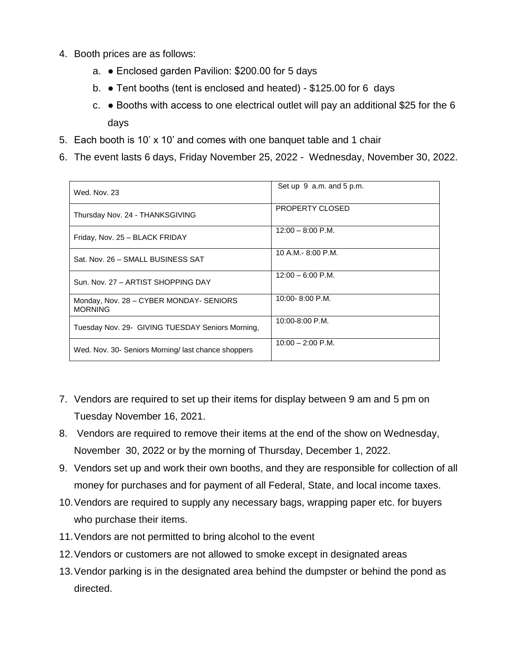- 4. Booth prices are as follows:
	- a. Enclosed garden Pavilion: \$200.00 for 5 days
	- b. Tent booths (tent is enclosed and heated) \$125.00 for 6 days
	- c. Booths with access to one electrical outlet will pay an additional \$25 for the 6 days
- 5. Each booth is 10' x 10' and comes with one banquet table and 1 chair
- 6. The event lasts 6 days, Friday November 25, 2022 Wednesday, November 30, 2022.

| Wed. Nov. 23                                              | Set up $9$ a.m. and $5$ p.m. |
|-----------------------------------------------------------|------------------------------|
| Thursday Nov. 24 - THANKSGIVING                           | <b>PROPERTY CLOSED</b>       |
| Friday, Nov. 25 - BLACK FRIDAY                            | $12:00 - 8:00$ P.M.          |
| Sat. Nov. 26 - SMALL BUSINESS SAT                         | 10 A.M. $-$ 8:00 P.M.        |
| Sun, Nov. 27 - ARTIST SHOPPING DAY                        | $12:00 - 6:00$ P.M.          |
| Monday, Nov. 28 - CYBER MONDAY- SENIORS<br><b>MORNING</b> | 10:00-8:00 P.M.              |
| Tuesday Nov. 29- GIVING TUESDAY Seniors Morning.          | $10:00 - 8:00$ P.M.          |
| Wed. Nov. 30- Seniors Morning/ last chance shoppers       | $10:00 - 2:00$ P.M.          |

- 7. Vendors are required to set up their items for display between 9 am and 5 pm on Tuesday November 16, 2021.
- 8. Vendors are required to remove their items at the end of the show on Wednesday, November 30, 2022 or by the morning of Thursday, December 1, 2022.
- 9. Vendors set up and work their own booths, and they are responsible for collection of all money for purchases and for payment of all Federal, State, and local income taxes.
- 10.Vendors are required to supply any necessary bags, wrapping paper etc. for buyers who purchase their items.
- 11.Vendors are not permitted to bring alcohol to the event
- 12.Vendors or customers are not allowed to smoke except in designated areas
- 13.Vendor parking is in the designated area behind the dumpster or behind the pond as directed.